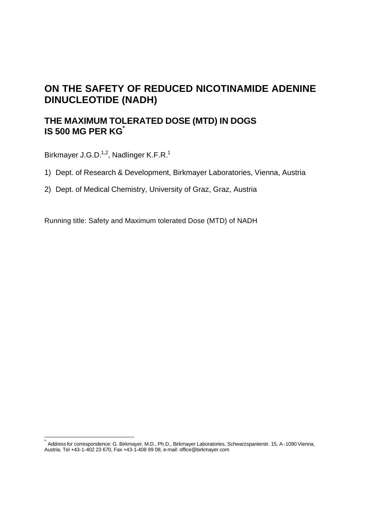# **ON THE SAFETY OF REDUCED NICOTINAMIDE ADENINE DINUCLEOTIDE (NADH)**

# **THE MAXIMUM TOLERATED DOSE (MTD) IN DOGS IS 500 MG PER KG\***

Birkmayer J.G.D.<sup>1,2</sup>, Nadlinger K.F.R.<sup>1</sup>

l

- 1) Dept. of Research & Development, Birkmayer Laboratories, Vienna, Austria
- 2) Dept. of Medical Chemistry, University of Graz, Graz, Austria

Running title: Safety and Maximum tolerated Dose (MTD) of NADH

<sup>\*</sup> Address for correspondence: G. Birkmayer, M.D., Ph.D., Birkmayer Laboratories, Schwarzspanierstr. 15, A -1090 Vienna, Austria. Tel +43-1-402 23 670, Fax +43-1-408 99 08, e-mail: office@birkmayer.com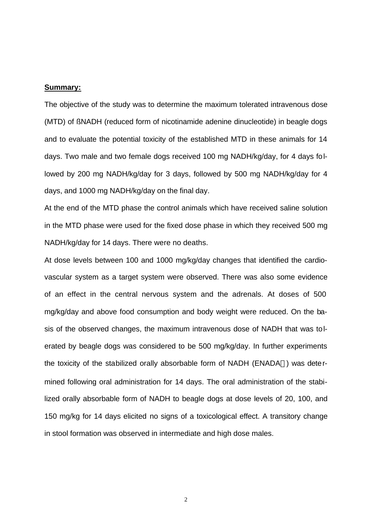#### **Summary:**

The objective of the study was to determine the maximum tolerated intravenous dose (MTD) of ßNADH (reduced form of nicotinamide adenine dinucleotide) in beagle dogs and to evaluate the potential toxicity of the established MTD in these animals for 14 days. Two male and two female dogs received 100 mg NADH/kg/day, for 4 days followed by 200 mg NADH/kg/day for 3 days, followed by 500 mg NADH/kg/day for 4 days, and 1000 mg NADH/kg/day on the final day.

At the end of the MTD phase the control animals which have received saline solution in the MTD phase were used for the fixed dose phase in which they received 500 mg NADH/kg/day for 14 days. There were no deaths.

At dose levels between 100 and 1000 mg/kg/day changes that identified the cardiovascular system as a target system were observed. There was also some evidence of an effect in the central nervous system and the adrenals. At doses of 500 mg/kg/day and above food consumption and body weight were reduced. On the basis of the observed changes, the maximum intravenous dose of NADH that was tolerated by beagle dogs was considered to be 500 mg/kg/day. In further experiments the toxicity of the stabilized orally absorbable form of NADH (ENADA®) was determined following oral administration for 14 days. The oral administration of the stabilized orally absorbable form of NADH to beagle dogs at dose levels of 20, 100, and 150 mg/kg for 14 days elicited no signs of a toxicological effect. A transitory change in stool formation was observed in intermediate and high dose males.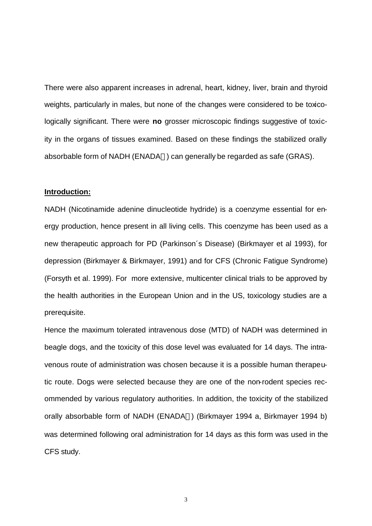There were also apparent increases in adrenal, heart, kidney, liver, brain and thyroid weights, particularly in males, but none of the changes were considered to be toxicologically significant. There were **no** grosser microscopic findings suggestive of toxicity in the organs of tissues examined. Based on these findings the stabilized orally absorbable form of NADH (ENADA®) can generally be regarded as safe (GRAS).

#### **Introduction:**

NADH (Nicotinamide adenine dinucleotide hydride) is a coenzyme essential for energy production, hence present in all living cells. This coenzyme has been used as a new therapeutic approach for PD (Parkinson´s Disease) (Birkmayer et al 1993), for depression (Birkmayer & Birkmayer, 1991) and for CFS (Chronic Fatigue Syndrome) (Forsyth et al. 1999). For more extensive, multicenter clinical trials to be approved by the health authorities in the European Union and in the US, toxicology studies are a prerequisite.

Hence the maximum tolerated intravenous dose (MTD) of NADH was determined in beagle dogs, and the toxicity of this dose level was evaluated for 14 days. The intravenous route of administration was chosen because it is a possible human therapeutic route. Dogs were selected because they are one of the non-rodent species recommended by various regulatory authorities. In addition, the toxicity of the stabilized orally absorbable form of NADH (ENADA®) (Birkmayer 1994 a, Birkmayer 1994 b) was determined following oral administration for 14 days as this form was used in the CFS study.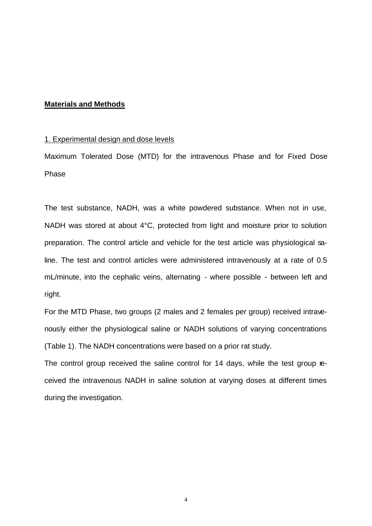## **Materials and Methods**

## 1. Experimental design and dose levels

Maximum Tolerated Dose (MTD) for the intravenous Phase and for Fixed Dose Phase

The test substance, NADH, was a white powdered substance. When not in use, NADH was stored at about 4°C, protected from light and moisture prior to solution preparation. The control article and vehicle for the test article was physiological saline. The test and control articles were administered intravenously at a rate of 0.5 mL/minute, into the cephalic veins, alternating - where possible - between left and right.

For the MTD Phase, two groups (2 males and 2 females per group) received intravenously either the physiological saline or NADH solutions of varying concentrations (Table 1). The NADH concentrations were based on a prior rat study.

The control group received the saline control for 14 days, while the test group received the intravenous NADH in saline solution at varying doses at different times during the investigation.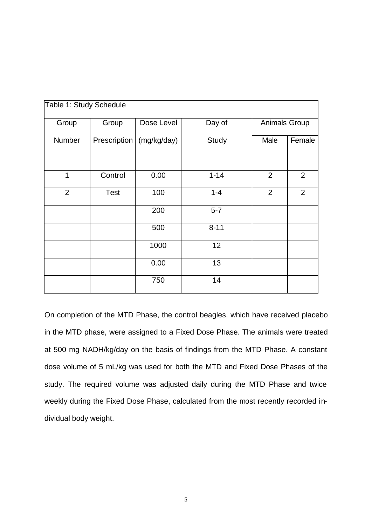| Table 1: Study Schedule |              |             |          |                |                |
|-------------------------|--------------|-------------|----------|----------------|----------------|
| Group                   | Group        | Dose Level  | Day of   | Animals Group  |                |
| Number                  | Prescription | (mg/kg/day) | Study    | Male           | Female         |
|                         |              |             |          |                |                |
| 1                       | Control      | 0.00        | $1 - 14$ | $\overline{2}$ | $\overline{2}$ |
| 2                       | <b>Test</b>  | 100         | $1 - 4$  | $\overline{2}$ | $\overline{2}$ |
|                         |              | 200         | $5-7$    |                |                |
|                         |              | 500         | $8 - 11$ |                |                |
|                         |              | 1000        | 12       |                |                |
|                         |              | 0.00        | 13       |                |                |
|                         |              | 750         | 14       |                |                |

On completion of the MTD Phase, the control beagles, which have received placebo in the MTD phase, were assigned to a Fixed Dose Phase. The animals were treated at 500 mg NADH/kg/day on the basis of findings from the MTD Phase. A constant dose volume of 5 mL/kg was used for both the MTD and Fixed Dose Phases of the study. The required volume was adjusted daily during the MTD Phase and twice weekly during the Fixed Dose Phase, calculated from the most recently recorded individual body weight.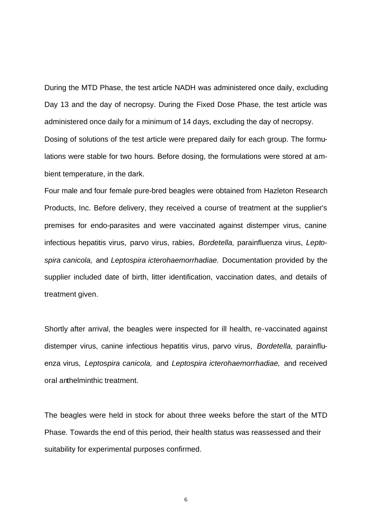During the MTD Phase, the test article NADH was administered once daily, excluding Day 13 and the day of necropsy. During the Fixed Dose Phase, the test article was administered once daily for a minimum of 14 days, excluding the day of necropsy. Dosing of solutions of the test article were prepared daily for each group. The formu-

lations were stable for two hours. Before dosing, the formulations were stored at ambient temperature, in the dark.

Four male and four female pure-bred beagles were obtained from Hazleton Research Products, Inc. Before delivery, they received a course of treatment at the supplier's premises for endo-parasites and were vaccinated against distemper virus, canine infectious hepatitis virus, parvo virus, rabies, *Bordetella,* parainfluenza virus, *Leptospira canicola,* and *Leptospira icterohaemorrhadiae.* Documentation provided by the supplier included date of birth, litter identification, vaccination dates, and details of treatment given.

Shortly after arrival, the beagles were inspected for ill health, re-vaccinated against distemper virus, canine infectious hepatitis virus, parvo virus, *Bordetella,* parainfluenza virus, *Leptospira canicola,* and *Leptospira icterohaemorrhadiae,* and received oral anthelminthic treatment.

The beagles were held in stock for about three weeks before the start of the MTD Phase. Towards the end of this period, their health status was reassessed and their suitability for experimental purposes confirmed.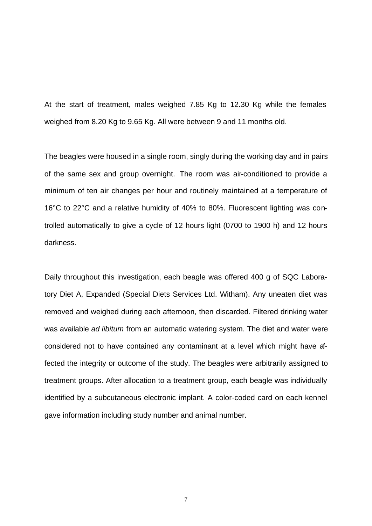At the start of treatment, males weighed 7.85 Kg to 12.30 Kg while the females weighed from 8.20 Kg to 9.65 Kg. All were between 9 and 11 months old.

The beagles were housed in a single room, singly during the working day and in pairs of the same sex and group overnight. The room was air-conditioned to provide a minimum of ten air changes per hour and routinely maintained at a temperature of 16°C to 22°C and a relative humidity of 40% to 80%. Fluorescent lighting was controlled automatically to give a cycle of 12 hours light (0700 to 1900 h) and 12 hours darkness.

Daily throughout this investigation, each beagle was offered 400 g of SQC Laboratory Diet A, Expanded (Special Diets Services Ltd. Witham). Any uneaten diet was removed and weighed during each afternoon, then discarded. Filtered drinking water was available *ad libitum* from an automatic watering system. The diet and water were considered not to have contained any contaminant at a level which might have affected the integrity or outcome of the study. The beagles were arbitrarily assigned to treatment groups. After allocation to a treatment group, each beagle was individually identified by a subcutaneous electronic implant. A color-coded card on each kennel gave information including study number and animal number.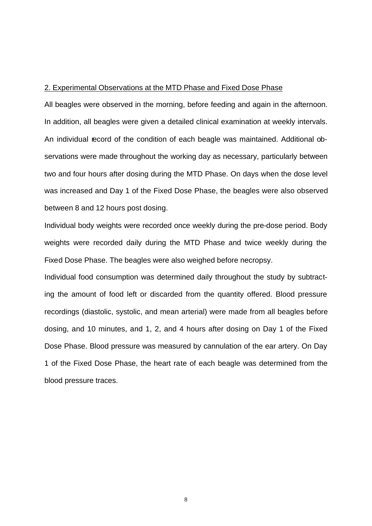## 2. Experimental Observations at the MTD Phase and Fixed Dose Phase

All beagles were observed in the morning, before feeding and again in the afternoon. In addition, all beagles were given a detailed clinical examination at weekly intervals. An individual record of the condition of each beagle was maintained. Additional observations were made throughout the working day as necessary, particularly between two and four hours after dosing during the MTD Phase. On days when the dose level was increased and Day 1 of the Fixed Dose Phase, the beagles were also observed between 8 and 12 hours post dosing.

Individual body weights were recorded once weekly during the pre-dose period. Body weights were recorded daily during the MTD Phase and twice weekly during the Fixed Dose Phase. The beagles were also weighed before necropsy.

Individual food consumption was determined daily throughout the study by subtracting the amount of food left or discarded from the quantity offered. Blood pressure recordings (diastolic, systolic, and mean arterial) were made from all beagles before dosing, and 10 minutes, and 1, 2, and 4 hours after dosing on Day 1 of the Fixed Dose Phase. Blood pressure was measured by cannulation of the ear artery. On Day 1 of the Fixed Dose Phase, the heart rate of each beagle was determined from the blood pressure traces.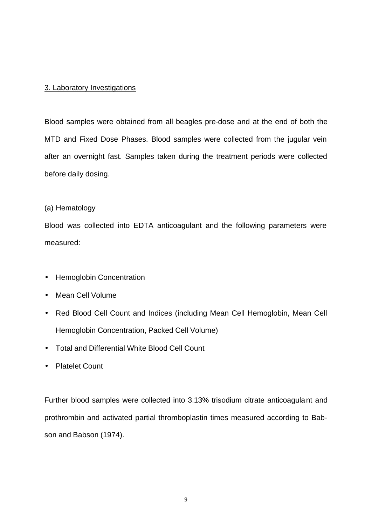# 3. Laboratory Investigations

Blood samples were obtained from all beagles pre-dose and at the end of both the MTD and Fixed Dose Phases. Blood samples were collected from the jugular vein after an overnight fast. Samples taken during the treatment periods were collected before daily dosing.

# (a) Hematology

Blood was collected into EDTA anticoagulant and the following parameters were measured:

- Hemoglobin Concentration
- Mean Cell Volume
- Red Blood Cell Count and Indices (including Mean Cell Hemoglobin, Mean Cell Hemoglobin Concentration, Packed Cell Volume)
- Total and Differential White Blood Cell Count
- Platelet Count

Further blood samples were collected into 3.13% trisodium citrate anticoagulant and prothrombin and activated partial thromboplastin times measured according to Babson and Babson (1974).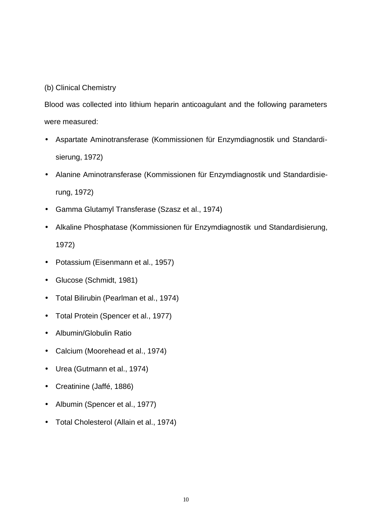# (b) Clinical Chemistry

Blood was collected into lithium heparin anticoagulant and the following parameters were measured:

- Aspartate Aminotransferase (Kommissionen für Enzymdiagnostik und Standardisierung, 1972)
- Alanine Aminotransferase (Kommissionen für Enzymdiagnostik und Standardisierung, 1972)
- Gamma Glutamyl Transferase (Szasz et al., 1974)
- Alkaline Phosphatase (Kommissionen für Enzymdiagnostik und Standardisierung, 1972)
- Potassium (Eisenmann et al., 1957)
- Glucose (Schmidt, 1981)
- Total Bilirubin (Pearlman et al., 1974)
- Total Protein (Spencer et al., 1977)
- Albumin/Globulin Ratio
- Calcium (Moorehead et al., 1974)
- Urea (Gutmann et al., 1974)
- Creatinine (Jaffé, 1886)
- Albumin (Spencer et al., 1977)
- Total Cholesterol (Allain et al., 1974)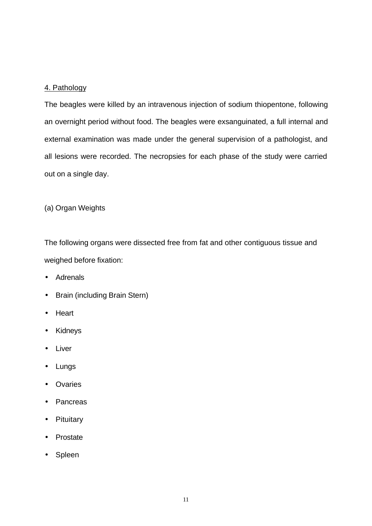# 4. Pathology

The beagles were killed by an intravenous injection of sodium thiopentone, following an overnight period without food. The beagles were exsanguinated, a full internal and external examination was made under the general supervision of a pathologist, and all lesions were recorded. The necropsies for each phase of the study were carried out on a single day.

(a) Organ Weights

The following organs were dissected free from fat and other contiguous tissue and weighed before fixation:

- Adrenals
- Brain (including Brain Stern)
- Heart
- **Kidneys**
- **Liver**
- Lungs
- Ovaries
- **Pancreas**
- **Pituitary**
- **Prostate**
- Spleen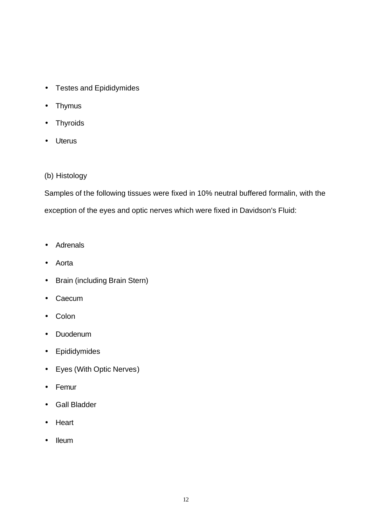- Testes and Epididymides
- Thymus
- Thyroids
- Uterus

# (b) Histology

Samples of the following tissues were fixed in 10% neutral buffered formalin, with the exception of the eyes and optic nerves which were fixed in Davidson's Fluid:

- Adrenals
- Aorta
- Brain (including Brain Stern)
- Caecum
- Colon
- Duodenum
- Epididymides
- Eyes (With Optic Nerves)
- Femur
- Gall Bladder
- Heart
- Ileum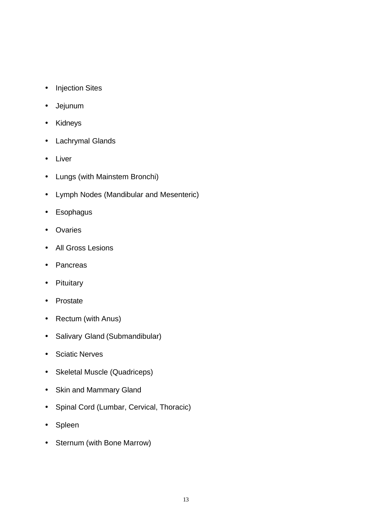- Injection Sites
- Jejunum
- Kidneys
- Lachrymal Glands
- Liver
- Lungs (with Mainstem Bronchi)
- Lymph Nodes (Mandibular and Mesenteric)
- Esophagus
- Ovaries
- All Gross Lesions
- Pancreas
- Pituitary
- Prostate
- Rectum (with Anus)
- Salivary Gland (Submandibular)
- Sciatic Nerves
- Skeletal Muscle (Quadriceps)
- Skin and Mammary Gland
- Spinal Cord (Lumbar, Cervical, Thoracic)
- Spleen
- Sternum (with Bone Marrow)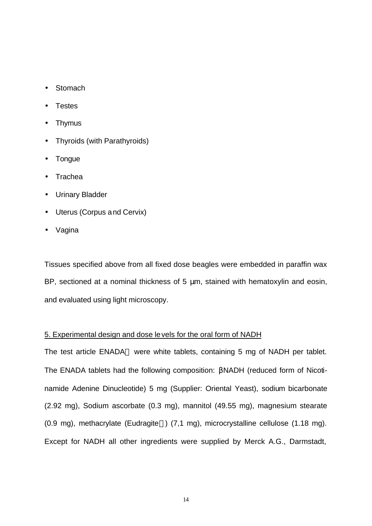- **Stomach**
- **Testes**
- Thymus
- Thyroids (with Parathyroids)
- **Tongue**
- Trachea
- Urinary Bladder
- Uterus (Corpus and Cervix)
- Vagina

Tissues specified above from all fixed dose beagles were embedded in paraffin wax BP, sectioned at a nominal thickness of 5 μm, stained with hematoxylin and eosin, and evaluated using light microscopy.

## 5. Experimental design and dose levels for the oral form of NADH

The test article ENADA<sup>®</sup> were white tablets, containing 5 mg of NADH per tablet. The ENADA tablets had the following composition: βNADH (reduced form of Nicotinamide Adenine Dinucleotide) 5 mg (Supplier: Oriental Yeast), sodium bicarbonate (2.92 mg), Sodium ascorbate (0.3 mg), mannitol (49.55 mg), magnesium stearate (0.9 mg), methacrylate (Eudragite®) (7,1 mg), microcrystalline cellulose (1.18 mg). Except for NADH all other ingredients were supplied by Merck A.G., Darmstadt,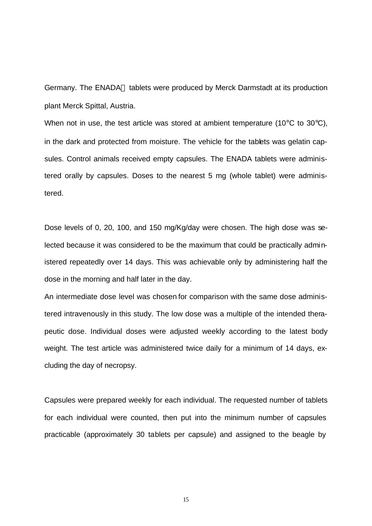Germany. The ENADA® tablets were produced by Merck Darmstadt at its production plant Merck Spittal, Austria.

When not in use, the test article was stored at ambient temperature (10 $\degree$ C to 30 $\degree$ C), in the dark and protected from moisture. The vehicle for the tablets was gelatin capsules. Control animals received empty capsules. The ENADA tablets were administered orally by capsules. Doses to the nearest 5 mg (whole tablet) were administered.

Dose levels of 0, 20, 100, and 150 mg/Kg/day were chosen. The high dose was selected because it was considered to be the maximum that could be practically administered repeatedly over 14 days. This was achievable only by administering half the dose in the morning and half later in the day.

An intermediate dose level was chosen for comparison with the same dose administered intravenously in this study. The low dose was a multiple of the intended therapeutic dose. Individual doses were adjusted weekly according to the latest body weight. The test article was administered twice daily for a minimum of 14 days, excluding the day of necropsy.

Capsules were prepared weekly for each individual. The requested number of tablets for each individual were counted, then put into the minimum number of capsules practicable (approximately 30 tablets per capsule) and assigned to the beagle by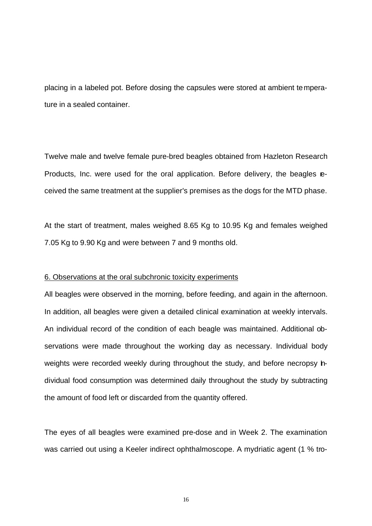placing in a labeled pot. Before dosing the capsules were stored at ambient temperature in a sealed container.

Twelve male and twelve female pure-bred beagles obtained from Hazleton Research Products, Inc. were used for the oral application. Before delivery, the beagles **e**ceived the same treatment at the supplier's premises as the dogs for the MTD phase.

At the start of treatment, males weighed 8.65 Kg to 10.95 Kg and females weighed 7.05 Kg to 9.90 Kg and were between 7 and 9 months old.

#### 6. Observations at the oral subchronic toxicity experiments

All beagles were observed in the morning, before feeding, and again in the afternoon. In addition, all beagles were given a detailed clinical examination at weekly intervals. An individual record of the condition of each beagle was maintained. Additional observations were made throughout the working day as necessary. Individual body weights were recorded weekly during throughout the study, and before necropsy hdividual food consumption was determined daily throughout the study by subtracting the amount of food left or discarded from the quantity offered.

The eyes of all beagles were examined pre-dose and in Week 2. The examination was carried out using a Keeler indirect ophthalmoscope. A mydriatic agent (1 % tro-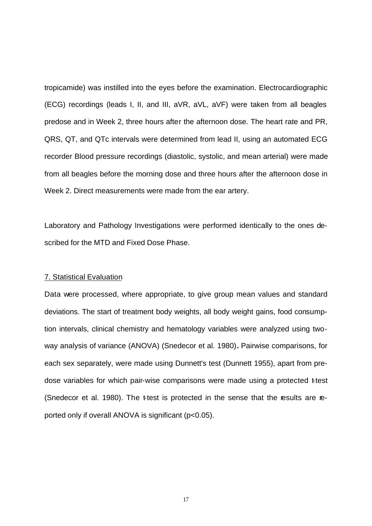tropicamide) was instilled into the eyes before the examination. Electrocardiographic (ECG) recordings (leads I, II, and III, aVR, aVL, aVF) were taken from all beagles predose and in Week 2, three hours after the afternoon dose. The heart rate and PR, QRS, QT, and QTc intervals were determined from lead II, using an automated ECG recorder Blood pressure recordings (diastolic, systolic, and mean arterial) were made from all beagles before the morning dose and three hours after the afternoon dose in Week 2. Direct measurements were made from the ear artery.

Laboratory and Pathology Investigations were performed identically to the ones described for the MTD and Fixed Dose Phase.

#### 7. Statistical Evaluation

Data were processed, where appropriate, to give group mean values and standard deviations. The start of treatment body weights, all body weight gains, food consumption intervals, clinical chemistry and hematology variables were analyzed using twoway analysis of variance (ANOVA) (Snedecor et al. 1980)**.** Pairwise comparisons, for each sex separately, were made using Dunnett's test (Dunnett 1955), apart from predose variables for which pair-wise comparisons were made using a protected t-test (Snedecor et al. 1980). The ttest is protected in the sense that the results are reported only if overall ANOVA is significant (p<0.05).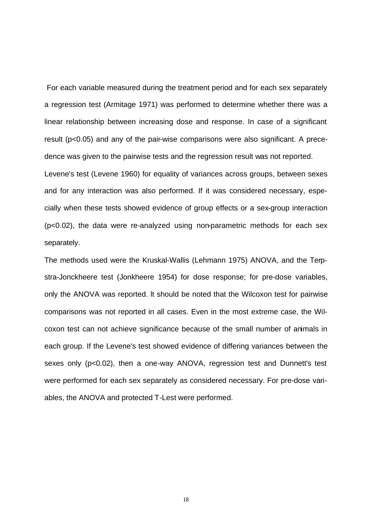For each variable measured during the treatment period and for each sex separately a regression test (Armitage 1971) was performed to determine whether there was a linear relationship between increasing dose and response. In case of a significant result (p<0.05) and any of the pair-wise comparisons were also significant. A precedence was given to the pairwise tests and the regression result was not reported. Levene's test (Levene 1960) for equality of variances across groups, between sexes and for any interaction was also performed. If it was considered necessary, especially when these tests showed evidence of group effects or a sex-group interaction (p<0.02), the data were re-analyzed using non-parametric methods for each sex separately.

The methods used were the Kruskal-Wallis (Lehmann 1975) ANOVA, and the Terpstra-Jonckheere test (Jonkheere 1954) for dose response; for pre-dose variables, only the ANOVA was reported. lt should be noted that the Wilcoxon test for pairwise comparisons was not reported in all cases. Even in the most extreme case, the Wilcoxon test can not achieve significance because of the small number of animals in each group. If the Levene's test showed evidence of differing variances between the sexes only (p<0.02), then a one-way ANOVA, regression test and Dunnett's test were performed for each sex separately as considered necessary. For pre-dose variables, the ANOVA and protected T-Lest were performed.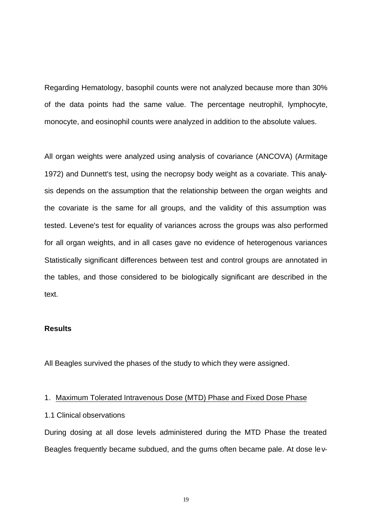Regarding Hematology, basophil counts were not analyzed because more than 30% of the data points had the same value. The percentage neutrophil, lymphocyte, monocyte, and eosinophil counts were analyzed in addition to the absolute values.

All organ weights were analyzed using analysis of covariance (ANCOVA) (Armitage 1972) and Dunnett's test, using the necropsy body weight as a covariate. This analysis depends on the assumption that the relationship between the organ weights and the covariate is the same for all groups, and the validity of this assumption was tested. Levene's test for equality of variances across the groups was also performed for all organ weights, and in all cases gave no evidence of heterogenous variances Statistically significant differences between test and control groups are annotated in the tables, and those considered to be biologically significant are described in the text.

# **Results**

All Beagles survived the phases of the study to which they were assigned.

#### 1. Maximum Tolerated Intravenous Dose (MTD) Phase and Fixed Dose Phase

### 1.1 Clinical observations

During dosing at all dose levels administered during the MTD Phase the treated Beagles frequently became subdued, and the gums often became pale. At dose lev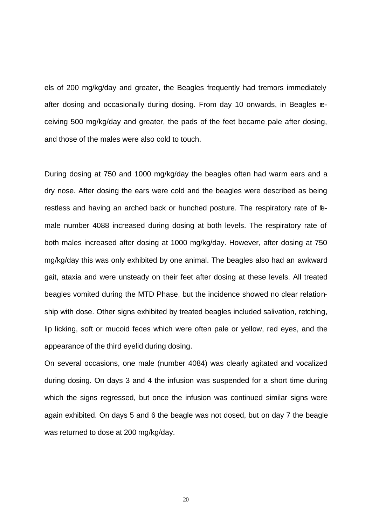els of 200 mg/kg/day and greater, the Beagles frequently had tremors immediately after dosing and occasionally during dosing. From day 10 onwards, in Beagles receiving 500 mg/kg/day and greater, the pads of the feet became pale after dosing, and those of the males were also cold to touch.

During dosing at 750 and 1000 mg/kg/day the beagles often had warm ears and a dry nose. After dosing the ears were cold and the beagles were described as being restless and having an arched back or hunched posture. The respiratory rate of female number 4088 increased during dosing at both levels. The respiratory rate of both males increased after dosing at 1000 mg/kg/day. However, after dosing at 750 mg/kg/day this was only exhibited by one animal. The beagles also had an awkward gait, ataxia and were unsteady on their feet after dosing at these levels. All treated beagles vomited during the MTD Phase, but the incidence showed no clear relationship with dose. Other signs exhibited by treated beagles included salivation, retching, lip licking, soft or mucoid feces which were often pale or yellow, red eyes, and the appearance of the third eyelid during dosing.

On several occasions, one male (number 4084) was clearly agitated and vocalized during dosing. On days 3 and 4 the infusion was suspended for a short time during which the signs regressed, but once the infusion was continued similar signs were again exhibited. On days 5 and 6 the beagle was not dosed, but on day 7 the beagle was returned to dose at 200 mg/kg/day.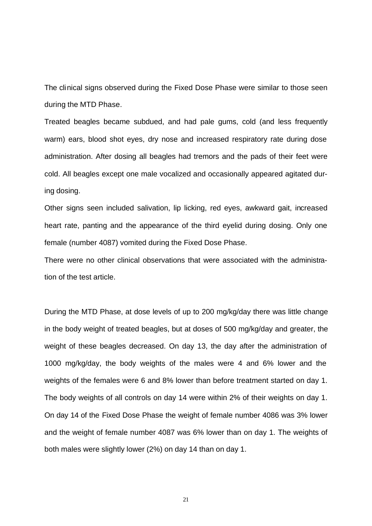The clinical signs observed during the Fixed Dose Phase were similar to those seen during the MTD Phase.

Treated beagles became subdued, and had pale gums, cold (and less frequently warm) ears, blood shot eyes, dry nose and increased respiratory rate during dose administration. After dosing all beagles had tremors and the pads of their feet were cold. All beagles except one male vocalized and occasionally appeared agitated during dosing.

Other signs seen included salivation, lip licking, red eyes, awkward gait, increased heart rate, panting and the appearance of the third eyelid during dosing. Only one female (number 4087) vomited during the Fixed Dose Phase.

There were no other clinical observations that were associated with the administration of the test article.

During the MTD Phase, at dose levels of up to 200 mg/kg/day there was little change in the body weight of treated beagles, but at doses of 500 mg/kg/day and greater, the weight of these beagles decreased. On day 13, the day after the administration of 1000 mg/kg/day, the body weights of the males were 4 and 6% lower and the weights of the females were 6 and 8% lower than before treatment started on day 1. The body weights of all controls on day 14 were within 2% of their weights on day 1. On day 14 of the Fixed Dose Phase the weight of female number 4086 was 3% lower and the weight of female number 4087 was 6% lower than on day 1. The weights of both males were slightly lower (2%) on day 14 than on day 1.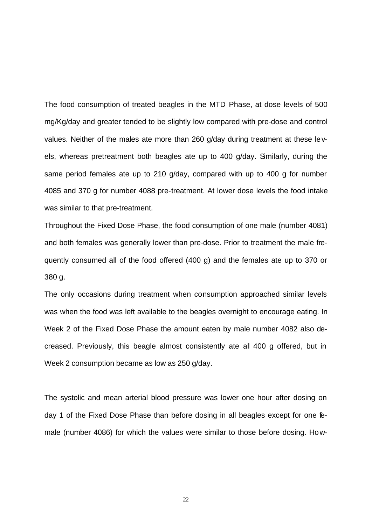The food consumption of treated beagles in the MTD Phase, at dose levels of 500 mg/Kg/day and greater tended to be slightly low compared with pre-dose and control values. Neither of the males ate more than 260 g/day during treatment at these levels, whereas pretreatment both beagles ate up to 400 g/day. Similarly, during the same period females ate up to 210 g/day, compared with up to 400 g for number 4085 and 370 g for number 4088 pre-treatment. At lower dose levels the food intake was similar to that pre-treatment.

Throughout the Fixed Dose Phase, the food consumption of one male (number 4081) and both females was generally lower than pre-dose. Prior to treatment the male frequently consumed all of the food offered (400 g) and the females ate up to 370 or 380 g.

The only occasions during treatment when consumption approached similar levels was when the food was left available to the beagles overnight to encourage eating. In Week 2 of the Fixed Dose Phase the amount eaten by male number 4082 also decreased. Previously, this beagle almost consistently ate all 400 g offered, but in Week 2 consumption became as low as 250 g/day.

The systolic and mean arterial blood pressure was lower one hour after dosing on day 1 of the Fixed Dose Phase than before dosing in all beagles except for one female (number 4086) for which the values were similar to those before dosing. How-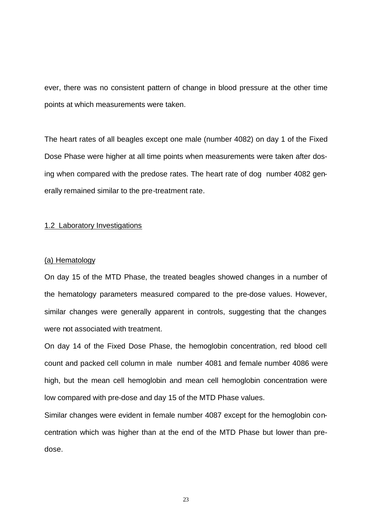ever, there was no consistent pattern of change in blood pressure at the other time points at which measurements were taken.

The heart rates of all beagles except one male (number 4082) on day 1 of the Fixed Dose Phase were higher at all time points when measurements were taken after dosing when compared with the predose rates. The heart rate of dog number 4082 generally remained similar to the pre-treatment rate.

#### 1.2 Laboratory Investigations

#### (a) Hematology

On day 15 of the MTD Phase, the treated beagles showed changes in a number of the hematology parameters measured compared to the pre-dose values. However, similar changes were generally apparent in controls, suggesting that the changes were not associated with treatment.

On day 14 of the Fixed Dose Phase, the hemoglobin concentration, red blood cell count and packed cell column in male number 4081 and female number 4086 were high, but the mean cell hemoglobin and mean cell hemoglobin concentration were low compared with pre-dose and day 15 of the MTD Phase values.

Similar changes were evident in female number 4087 except for the hemoglobin concentration which was higher than at the end of the MTD Phase but lower than predose.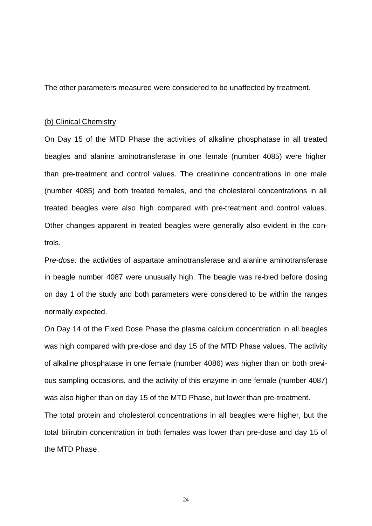The other parameters measured were considered to be unaffected by treatment.

## (b) Clinical Chemistry

On Day 15 of the MTD Phase the activities of alkaline phosphatase in all treated beagles and alanine aminotransferase in one female (number 4085) were higher than pre-treatment and control values. The creatinine concentrations in one male (number 4085) and both treated females, and the cholesterol concentrations in all treated beagles were also high compared with pre-treatment and control values. Other changes apparent in treated beagles were generally also evident in the controls.

P*re-dose:* the activities of aspartate aminotransferase and alanine aminotransferase in beagle number 4087 were unusually high. The beagle was re-bled before dosing on day 1 of the study and both parameters were considered to be within the ranges normally expected.

On Day 14 of the Fixed Dose Phase the plasma calcium concentration in all beagles was high compared with pre-dose and day 15 of the MTD Phase values. The activity of alkaline phosphatase in one female (number 4086) was higher than on both previous sampling occasions, and the activity of this enzyme in one female (number 4087) was also higher than on day 15 of the MTD Phase, but lower than pre-treatment.

The total protein and cholesterol concentrations in all beagles were higher, but the total bilirubin concentration in both females was lower than pre-dose and day 15 of the MTD Phase.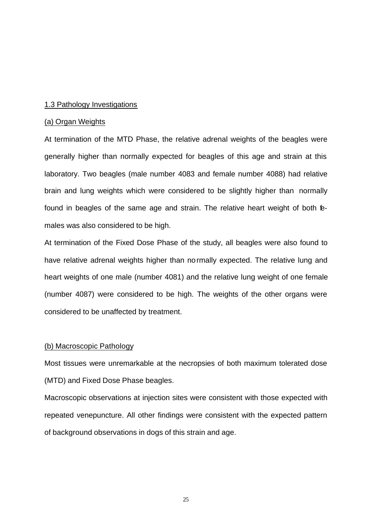## 1.3 Pathology Investigations

#### (a) Organ Weights

At termination of the MTD Phase, the relative adrenal weights of the beagles were generally higher than normally expected for beagles of this age and strain at this laboratory. Two beagles (male number 4083 and female number 4088) had relative brain and lung weights which were considered to be slightly higher than normally found in beagles of the same age and strain. The relative heart weight of both **fe**males was also considered to be high.

At termination of the Fixed Dose Phase of the study, all beagles were also found to have relative adrenal weights higher than normally expected. The relative lung and heart weights of one male (number 4081) and the relative lung weight of one female (number 4087) were considered to be high. The weights of the other organs were considered to be unaffected by treatment.

## (b) Macroscopic Pathology

Most tissues were unremarkable at the necropsies of both maximum tolerated dose (MTD) and Fixed Dose Phase beagles.

Macroscopic observations at injection sites were consistent with those expected with repeated venepuncture. All other findings were consistent with the expected pattern of background observations in dogs of this strain and age.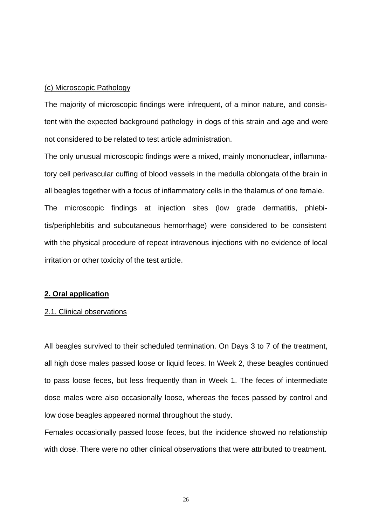## (c) Microscopic Pathology

The majority of microscopic findings were infrequent, of a minor nature, and consistent with the expected background pathology in dogs of this strain and age and were not considered to be related to test article administration.

The only unusual microscopic findings were a mixed, mainly mononuclear, inflammatory cell perivascular cuffing of blood vessels in the medulla oblongata of the brain in all beagles together with a focus of inflammatory cells in the thalamus of one female. The microscopic findings at injection sites (low grade dermatitis, phlebitis/periphlebitis and subcutaneous hemorrhage) were considered to be consistent with the physical procedure of repeat intravenous injections with no evidence of local irritation or other toxicity of the test article.

#### **2. Oral application**

#### 2.1. Clinical observations

All beagles survived to their scheduled termination. On Days 3 to 7 of the treatment, all high dose males passed loose or liquid feces. In Week 2, these beagles continued to pass loose feces, but less frequently than in Week 1. The feces of intermediate dose males were also occasionally loose, whereas the feces passed by control and low dose beagles appeared normal throughout the study.

Females occasionally passed loose feces, but the incidence showed no relationship with dose. There were no other clinical observations that were attributed to treatment.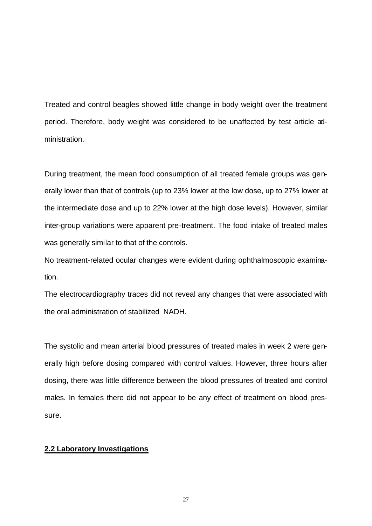Treated and control beagles showed little change in body weight over the treatment period. Therefore, body weight was considered to be unaffected by test article administration.

During treatment, the mean food consumption of all treated female groups was generally lower than that of controls (up to 23% lower at the low dose, up to 27% lower at the intermediate dose and up to 22% lower at the high dose levels). However, similar inter-group variations were apparent pre-treatment. The food intake of treated males was generally similar to that of the controls.

No treatment-related ocular changes were evident during ophthalmoscopic examination.

The electrocardiography traces did not reveal any changes that were associated with the oral administration of stabilized NADH.

The systolic and mean arterial blood pressures of treated males in week 2 were generally high before dosing compared with control values. However, three hours after dosing, there was little difference between the blood pressures of treated and control males. In females there did not appear to be any effect of treatment on blood pressure.

## **2.2 Laboratory Investigations**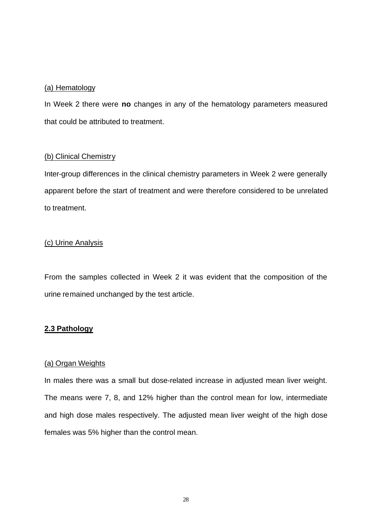## (a) Hematology

In Week 2 there were **no** changes in any of the hematology parameters measured that could be attributed to treatment.

# (b) Clinical Chemistry

Inter-group differences in the clinical chemistry parameters in Week 2 were generally apparent before the start of treatment and were therefore considered to be unrelated to treatment.

# (c) Urine Analysis

From the samples collected in Week 2 it was evident that the composition of the urine remained unchanged by the test article.

# **2.3 Pathology**

# (a) Organ Weights

In males there was a small but dose-related increase in adjusted mean liver weight. The means were 7, 8, and 12% higher than the control mean for low, intermediate and high dose males respectively. The adjusted mean liver weight of the high dose females was 5% higher than the control mean.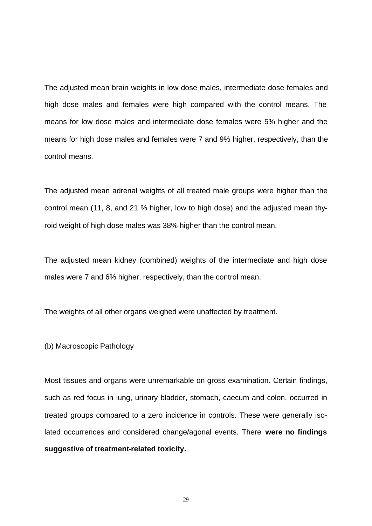The adjusted mean brain weights in low dose males, intermediate dose females and high dose males and females were high compared with the control means. The means for low dose males and intermediate dose females were 5% higher and the means for high dose males and females were 7 and 9% higher, respectively, than the control means.

The adjusted mean adrenal weights of all treated male groups were higher than the control mean (11, 8, and 21 % higher, low to high dose) and the adjusted mean thyroid weight of high dose males was 38% higher than the control mean.

The adjusted mean kidney (combined) weights of the intermediate and high dose males were 7 and 6% higher, respectively, than the control mean.

The weights of all other organs weighed were unaffected by treatment.

## (b) Macroscopic Pathology

Most tissues and organs were unremarkable on gross examination. Certain findings, such as red focus in lung, urinary bladder, stomach, caecum and colon, occurred in treated groups compared to a zero incidence in controls. These were generally isolated occurrences and considered change/agonal events. There **were no findings suggestive of treatment-related toxicity.**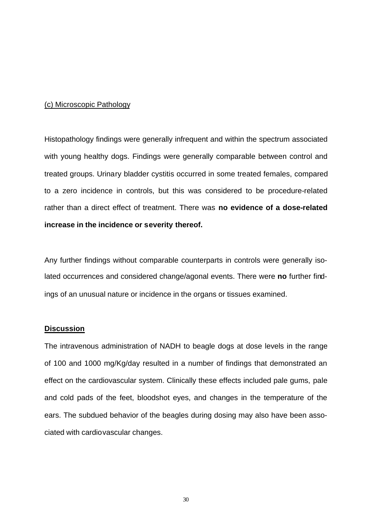#### (c) Microscopic Pathology

Histopathology findings were generally infrequent and within the spectrum associated with young healthy dogs. Findings were generally comparable between control and treated groups. Urinary bladder cystitis occurred in some treated females, compared to a zero incidence in controls, but this was considered to be procedure-related rather than a direct effect of treatment. There was **no evidence of a dose-related increase in the incidence or severity thereof.**

Any further findings without comparable counterparts in controls were generally isolated occurrences and considered change/agonal events. There were **no** further findings of an unusual nature or incidence in the organs or tissues examined.

## **Discussion**

The intravenous administration of NADH to beagle dogs at dose levels in the range of 100 and 1000 mg/Kg/day resulted in a number of findings that demonstrated an effect on the cardiovascular system. Clinically these effects included pale gums, pale and cold pads of the feet, bloodshot eyes, and changes in the temperature of the ears. The subdued behavior of the beagles during dosing may also have been associated with cardiovascular changes.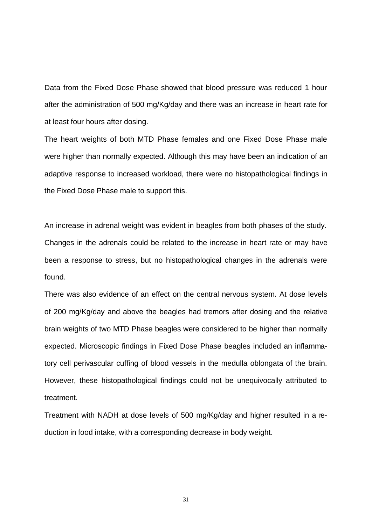Data from the Fixed Dose Phase showed that blood pressure was reduced 1 hour after the administration of 500 mg/Kg/day and there was an increase in heart rate for at least four hours after dosing.

The heart weights of both MTD Phase females and one Fixed Dose Phase male were higher than normally expected. Although this may have been an indication of an adaptive response to increased workload, there were no histopathological findings in the Fixed Dose Phase male to support this.

An increase in adrenal weight was evident in beagles from both phases of the study. Changes in the adrenals could be related to the increase in heart rate or may have been a response to stress, but no histopathological changes in the adrenals were found.

There was also evidence of an effect on the central nervous system. At dose levels of 200 mg/Kg/day and above the beagles had tremors after dosing and the relative brain weights of two MTD Phase beagles were considered to be higher than normally expected. Microscopic findings in Fixed Dose Phase beagles included an inflammatory cell perivascular cuffing of blood vessels in the medulla oblongata of the brain. However, these histopathological findings could not be unequivocally attributed to treatment.

Treatment with NADH at dose levels of 500 mg/Kg/day and higher resulted in a reduction in food intake, with a corresponding decrease in body weight.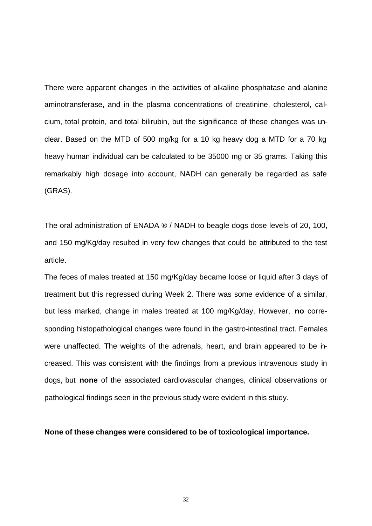There were apparent changes in the activities of alkaline phosphatase and alanine aminotransferase, and in the plasma concentrations of creatinine, cholesterol, calcium, total protein, and total bilirubin, but the significance of these changes was unclear. Based on the MTD of 500 mg/kg for a 10 kg heavy dog a MTD for a 70 kg heavy human individual can be calculated to be 35000 mg or 35 grams. Taking this remarkably high dosage into account, NADH can generally be regarded as safe (GRAS).

The oral administration of ENADA ® / NADH to beagle dogs dose levels of 20, 100, and 150 mg/Kg/day resulted in very few changes that could be attributed to the test article.

The feces of males treated at 150 mg/Kg/day became loose or liquid after 3 days of treatment but this regressed during Week 2. There was some evidence of a similar, but less marked, change in males treated at 100 mg/Kg/day. However, **no** corresponding histopathological changes were found in the gastro-intestinal tract. Females were unaffected. The weights of the adrenals, heart, and brain appeared to be increased. This was consistent with the findings from a previous intravenous study in dogs, but **none** of the associated cardiovascular changes, clinical observations or pathological findings seen in the previous study were evident in this study.

## **None of these changes were considered to be of toxicological importance.**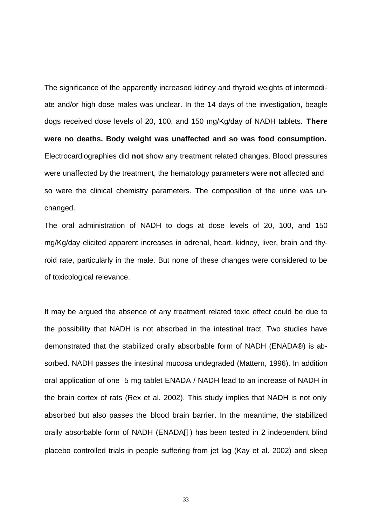The significance of the apparently increased kidney and thyroid weights of intermediate and/or high dose males was unclear. In the 14 days of the investigation, beagle dogs received dose levels of 20, 100, and 150 mg/Kg/day of NADH tablets. **There were no deaths. Body weight was unaffected and so was food consumption.**  Electrocardiographies did **not** show any treatment related changes. Blood pressures were unaffected by the treatment, the hematology parameters were **not** affected and so were the clinical chemistry parameters. The composition of the urine was unchanged.

The oral administration of NADH to dogs at dose levels of 20, 100, and 150 mg/Kg/day elicited apparent increases in adrenal, heart, kidney, liver, brain and thyroid rate, particularly in the male. But none of these changes were considered to be of toxicological relevance.

It may be argued the absence of any treatment related toxic effect could be due to the possibility that NADH is not absorbed in the intestinal tract. Two studies have demonstrated that the stabilized orally absorbable form of NADH (ENADA®) is absorbed. NADH passes the intestinal mucosa undegraded (Mattern, 1996). In addition oral application of one 5 mg tablet ENADA / NADH lead to an increase of NADH in the brain cortex of rats (Rex et al. 2002). This study implies that NADH is not only absorbed but also passes the blood brain barrier. In the meantime, the stabilized orally absorbable form of NADH (ENADA®) has been tested in 2 independent blind placebo controlled trials in people suffering from jet lag (Kay et al. 2002) and sleep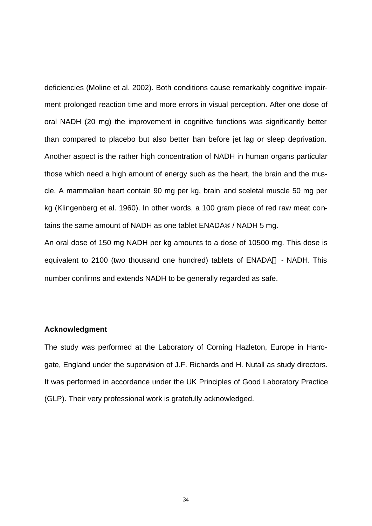deficiencies (Moline et al. 2002). Both conditions cause remarkably cognitive impairment prolonged reaction time and more errors in visual perception. After one dose of oral NADH (20 mg) the improvement in cognitive functions was significantly better than compared to placebo but also better than before jet lag or sleep deprivation. Another aspect is the rather high concentration of NADH in human organs particular those which need a high amount of energy such as the heart, the brain and the muscle. A mammalian heart contain 90 mg per kg, brain and sceletal muscle 50 mg per kg (Klingenberg et al. 1960). In other words, a 100 gram piece of red raw meat contains the same amount of NADH as one tablet ENADA® / NADH 5 mg.

An oral dose of 150 mg NADH per kg amounts to a dose of 10500 mg. This dose is equivalent to 2100 (two thousand one hundred) tablets of ENADA® - NADH. This number confirms and extends NADH to be generally regarded as safe.

#### **Acknowledgment**

The study was performed at the Laboratory of Corning Hazleton, Europe in Harrogate, England under the supervision of J.F. Richards and H. Nutall as study directors. It was performed in accordance under the UK Principles of Good Laboratory Practice (GLP). Their very professional work is gratefully acknowledged.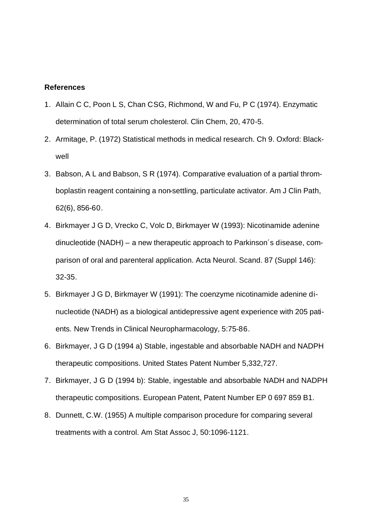## **References**

- 1. Allain C C, Poon L S, Chan CSG, Richmond, W and Fu, P C (1974). Enzymatic determination of total serum cholesterol. Clin Chem, 20, 470-5.
- 2. Armitage, P. (1972) Statistical methods in medical research. Ch 9. Oxford: Blackwell
- 3. Babson, A L and Babson, S R (1974). Comparative evaluation of a partial thromboplastin reagent containing a non-settling, particulate activator. Am J Clin Path, 62(6), 856-60.
- 4. Birkmayer J G D, Vrecko C, Volc D, Birkmayer W (1993): Nicotinamide adenine dinucleotide (NADH) – a new therapeutic approach to Parkinson´s disease, comparison of oral and parenteral application. Acta Neurol. Scand. 87 (Suppl 146): 32-35.
- 5. Birkmayer J G D, Birkmayer W (1991): The coenzyme nicotinamide adenine dinucleotide (NADH) as a biological antidepressive agent experience with 205 patients. New Trends in Clinical Neuropharmacology, 5:75-86.
- 6. Birkmayer, J G D (1994 a) Stable, ingestable and absorbable NADH and NADPH therapeutic compositions. United States Patent Number 5,332,727.
- 7. Birkmayer, J G D (1994 b): Stable, ingestable and absorbable NADH and NADPH therapeutic compositions. European Patent, Patent Number EP 0 697 859 B1.
- 8. Dunnett, C.W. (1955) A multiple comparison procedure for comparing several treatments with a control. Am Stat Assoc J, 50:1096-1121.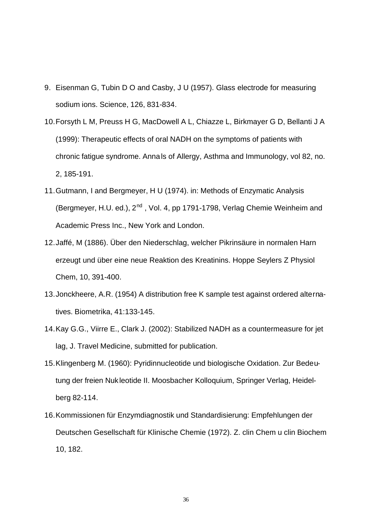- 9. Eisenman G, Tubin D O and Casby, J U (1957). Glass electrode for measuring sodium ions. Science, 126, 831-834.
- 10.Forsyth L M, Preuss H G, MacDowell A L, Chiazze L, Birkmayer G D, Bellanti J A (1999): Therapeutic effects of oral NADH on the symptoms of patients with chronic fatigue syndrome. Annals of Allergy, Asthma and Immunology, vol 82, no. 2, 185-191.
- 11.Gutmann, I and Bergmeyer, H U (1974). in: Methods of Enzymatic Analysis (Bergmeyer, H.U. ed.),  $2^{nd}$ , Vol. 4, pp 1791-1798, Verlag Chemie Weinheim and Academic Press Inc., New York and London.
- 12.Jaffé, M (1886). Über den Niederschlag, welcher Pikrinsäure in normalen Harn erzeugt und über eine neue Reaktion des Kreatinins. Hoppe Seylers Z Physiol Chem, 10, 391-400.
- 13.Jonckheere, A.R. (1954) A distribution free K sample test against ordered alternatives. Biometrika, 41:133-145.
- 14.Kay G.G., Viirre E., Clark J. (2002): Stabilized NADH as a countermeasure for jet lag, J. Travel Medicine, submitted for publication.
- 15.Klingenberg M. (1960): Pyridinnucleotide und biologische Oxidation. Zur Bedeutung der freien Nukleotide II. Moosbacher Kolloquium, Springer Verlag, Heidelberg 82-114.
- 16.Kommissionen für Enzymdiagnostik und Standardisierung: Empfehlungen der Deutschen Gesellschaft für Klinische Chemie (1972). Z. clin Chem u clin Biochem 10, 182.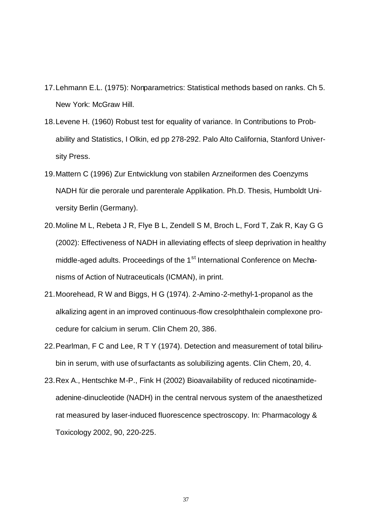- 17.Lehmann E.L. (1975): Nonparametrics: Statistical methods based on ranks. Ch 5. New York: McGraw Hill.
- 18.Levene H. (1960) Robust test for equality of variance. In Contributions to Probability and Statistics, I Olkin, ed pp 278-292. Palo Alto California, Stanford University Press.
- 19.Mattern C (1996) Zur Entwicklung von stabilen Arzneiformen des Coenzyms NADH für die perorale und parenterale Applikation. Ph.D. Thesis, Humboldt University Berlin (Germany).
- 20.Moline M L, Rebeta J R, Flye B L, Zendell S M, Broch L, Ford T, Zak R, Kay G G (2002): Effectiveness of NADH in alleviating effects of sleep deprivation in healthy middle-aged adults. Proceedings of the 1<sup>st</sup> International Conference on Mechanisms of Action of Nutraceuticals (ICMAN), in print.
- 21.Moorehead, R W and Biggs, H G (1974). 2-Amino-2-methyl-1-propanol as the alkalizing agent in an improved continuous-flow cresolphthalein complexone procedure for calcium in serum. Clin Chem 20, 386.
- 22.Pearlman, F C and Lee, R T Y (1974). Detection and measurement of total bilirubin in serum, with use of surfactants as solubilizing agents. Clin Chem, 20, 4.
- 23.Rex A., Hentschke M-P., Fink H (2002) Bioavailability of reduced nicotinamideadenine-dinucleotide (NADH) in the central nervous system of the anaesthetized rat measured by laser-induced fluorescence spectroscopy. In: Pharmacology & Toxicology 2002, 90, 220-225.